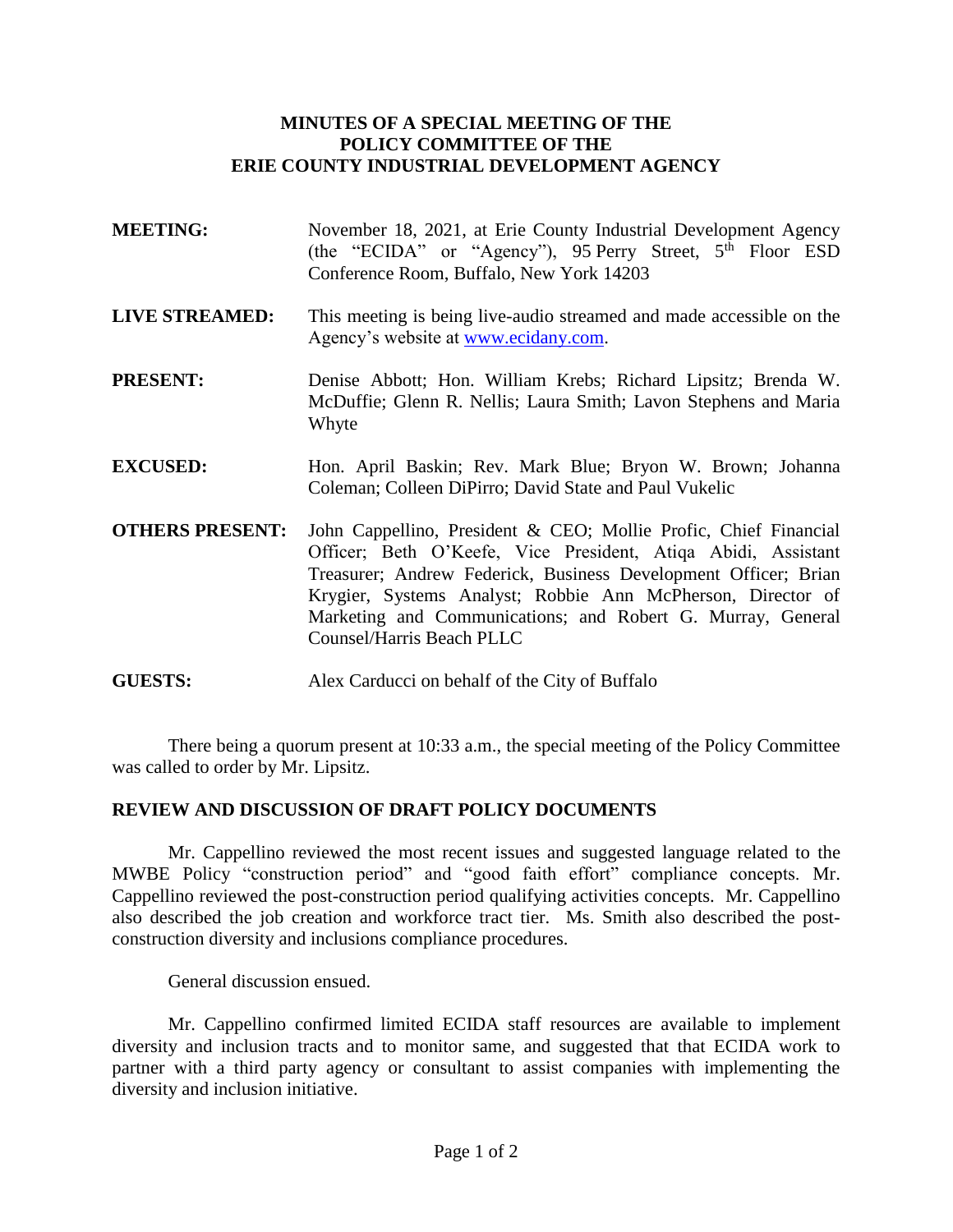## **MINUTES OF A SPECIAL MEETING OF THE POLICY COMMITTEE OF THE ERIE COUNTY INDUSTRIAL DEVELOPMENT AGENCY**

- **MEETING:** November 18, 2021, at Erie County Industrial Development Agency (the "ECIDA" or "Agency"), 95 Perry Street,  $5^{\text{th}}$  Floor ESD Conference Room, Buffalo, New York 14203
- **LIVE STREAMED:** This meeting is being live-audio streamed and made accessible on the Agency's website at [www.ecidany.com.](http://www.ecidany.com/)
- **PRESENT:** Denise Abbott; Hon. William Krebs; Richard Lipsitz; Brenda W. McDuffie; Glenn R. Nellis; Laura Smith; Lavon Stephens and Maria Whyte
- **EXCUSED:** Hon. April Baskin; Rev. Mark Blue; Bryon W. Brown; Johanna Coleman; Colleen DiPirro; David State and Paul Vukelic
- **OTHERS PRESENT:** John Cappellino, President & CEO; Mollie Profic, Chief Financial Officer; Beth O'Keefe, Vice President, Atiqa Abidi, Assistant Treasurer; Andrew Federick, Business Development Officer; Brian Krygier, Systems Analyst; Robbie Ann McPherson, Director of Marketing and Communications; and Robert G. Murray, General Counsel/Harris Beach PLLC
- **GUESTS:** Alex Carducci on behalf of the City of Buffalo

There being a quorum present at 10:33 a.m., the special meeting of the Policy Committee was called to order by Mr. Lipsitz.

## **REVIEW AND DISCUSSION OF DRAFT POLICY DOCUMENTS**

Mr. Cappellino reviewed the most recent issues and suggested language related to the MWBE Policy "construction period" and "good faith effort" compliance concepts. Mr. Cappellino reviewed the post-construction period qualifying activities concepts. Mr. Cappellino also described the job creation and workforce tract tier. Ms. Smith also described the postconstruction diversity and inclusions compliance procedures.

General discussion ensued.

Mr. Cappellino confirmed limited ECIDA staff resources are available to implement diversity and inclusion tracts and to monitor same, and suggested that that ECIDA work to partner with a third party agency or consultant to assist companies with implementing the diversity and inclusion initiative.